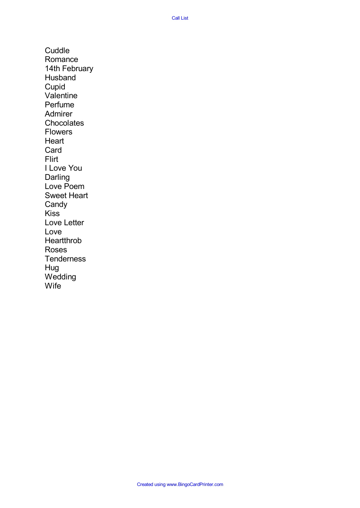**Cuddle** Romance 14th February Husband Cupid Valentine Perfume Admirer **Chocolates** Flowers **Heart** Card Flirt I Love You Darling Love Poem Sweet Heart Candy Kiss Love Letter Love Heartthrob Roses **Tenderness** Hug **Wedding** Wife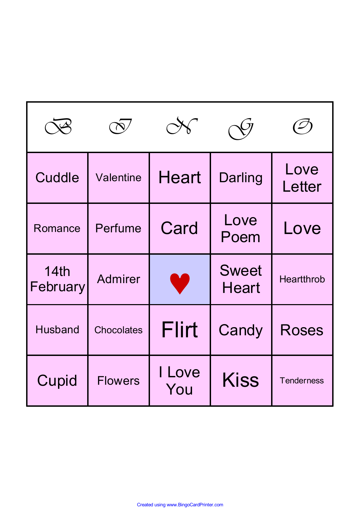| Cuddle           | Valentine         | <b>Heart</b>  | <b>Darling</b>               | Love<br>Letter    |  |
|------------------|-------------------|---------------|------------------------------|-------------------|--|
| Romance          | Perfume           | Card          | Love<br>Poem                 | Love              |  |
| 14th<br>February | <b>Admirer</b>    |               | <b>Sweet</b><br><b>Heart</b> | <b>Heartthrob</b> |  |
| <b>Husband</b>   | <b>Chocolates</b> | Flirt         | Candy                        | <b>Roses</b>      |  |
| Cupid            | <b>Flowers</b>    | I Love<br>You | <b>Kiss</b>                  | <b>Tenderness</b> |  |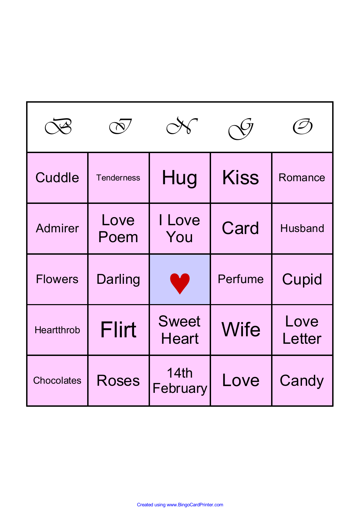| Cuddle            | <b>Tenderness</b> | Hug                          | <b>Kiss</b> | Romance        |  |
|-------------------|-------------------|------------------------------|-------------|----------------|--|
| <b>Admirer</b>    | Love<br>Poem      | I Love<br>You                | Card        | <b>Husband</b> |  |
| <b>Flowers</b>    | <b>Darling</b>    |                              | Perfume     | Cupid          |  |
| <b>Heartthrob</b> | <b>Flirt</b>      | <b>Sweet</b><br><b>Heart</b> | <b>Wife</b> | Love<br>Letter |  |
| <b>Chocolates</b> | <b>Roses</b>      | 14th<br>February             | Love        | Candy          |  |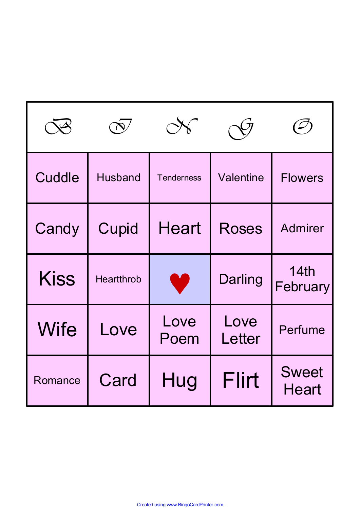| Cuddle      | <b>Husband</b>    | <b>Tenderness</b> | Valentine      | <b>Flowers</b>               |  |
|-------------|-------------------|-------------------|----------------|------------------------------|--|
| Candy       | Cupid             | <b>Heart</b>      | <b>Roses</b>   | <b>Admirer</b>               |  |
| <b>Kiss</b> | <b>Heartthrob</b> |                   | <b>Darling</b> | 14th<br>February             |  |
| <b>Wife</b> | Love              | Love<br>Poem      | Love<br>Letter | <b>Perfume</b>               |  |
| Romance     | Card              | Hug               | Flirt          | <b>Sweet</b><br><b>Heart</b> |  |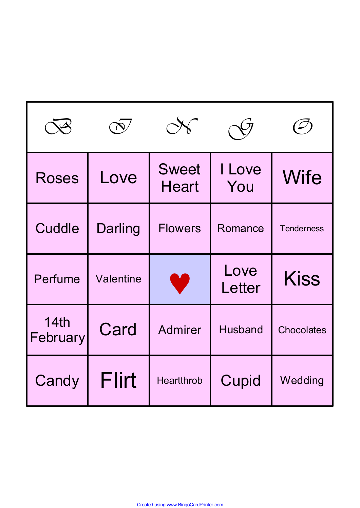| <b>Roses</b>     | Love      | <b>Sweet</b><br><b>Heart</b> | I Love<br>You  | <b>Wife</b>       |  |
|------------------|-----------|------------------------------|----------------|-------------------|--|
| Cuddle           | Darling   | <b>Flowers</b>               | Romance        | <b>Tenderness</b> |  |
| Perfume          | Valentine |                              | Love<br>Letter | <b>Kiss</b>       |  |
| 14th<br>February | Card      | <b>Admirer</b>               | <b>Husband</b> | <b>Chocolates</b> |  |
| Candy            | Flirt     | <b>Heartthrob</b>            | Cupid          | Wedding           |  |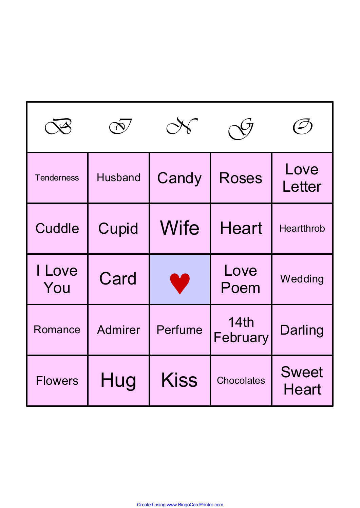|                   |                |             |                   | $\mathcal{\mathcal{\mathcal{\mathcal{L}}}}$ |  |
|-------------------|----------------|-------------|-------------------|---------------------------------------------|--|
| <b>Tenderness</b> | <b>Husband</b> | Candy       | <b>Roses</b>      | Love<br>Letter                              |  |
| Cuddle            | Cupid          | <b>Wife</b> | <b>Heart</b>      | <b>Heartthrob</b>                           |  |
| I Love<br>You     | Card           | W           | Love<br>Poem      | Wedding                                     |  |
| Romance           | Admirer        | Perfume     | 14th<br>February  | <b>Darling</b>                              |  |
| <b>Flowers</b>    | Hug            | <b>Kiss</b> | <b>Chocolates</b> | <b>Sweet</b><br><b>Heart</b>                |  |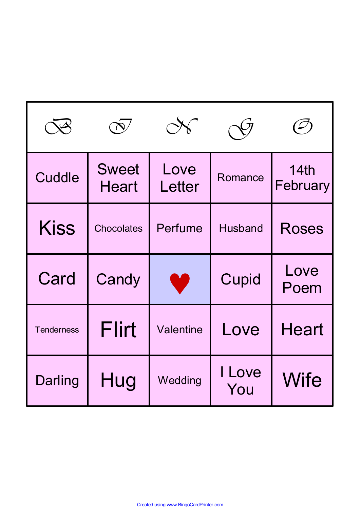|                   |                              |                |                | $\overline{\mathcal{L}}$ |  |
|-------------------|------------------------------|----------------|----------------|--------------------------|--|
| Cuddle            | <b>Sweet</b><br><b>Heart</b> | Love<br>Letter | Romance        | 14th<br>February         |  |
| <b>Kiss</b>       | <b>Chocolates</b>            | Perfume        | <b>Husband</b> | <b>Roses</b>             |  |
| Card              | Candy                        | J.             | Cupid          | Love<br>Poem             |  |
| <b>Tenderness</b> | <b>Flirt</b>                 | Valentine      | Love           | <b>Heart</b>             |  |
| Darling           | Hug                          | Wedding        | I Love<br>You  | Wife                     |  |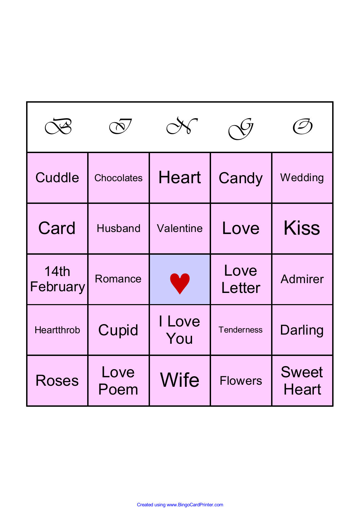| Cuddle            | <b>Chocolates</b> | <b>Heart</b>  | Candy             | Wedding                      |  |
|-------------------|-------------------|---------------|-------------------|------------------------------|--|
| Card              | <b>Husband</b>    | Valentine     | Love              | <b>Kiss</b>                  |  |
| 14th<br>February  | Romance           |               | Love<br>Letter    | <b>Admirer</b>               |  |
| <b>Heartthrob</b> | Cupid             | I Love<br>You | <b>Tenderness</b> | Darling                      |  |
| <b>Roses</b>      | Love<br>Poem      | <b>Wife</b>   | <b>Flowers</b>    | <b>Sweet</b><br><b>Heart</b> |  |